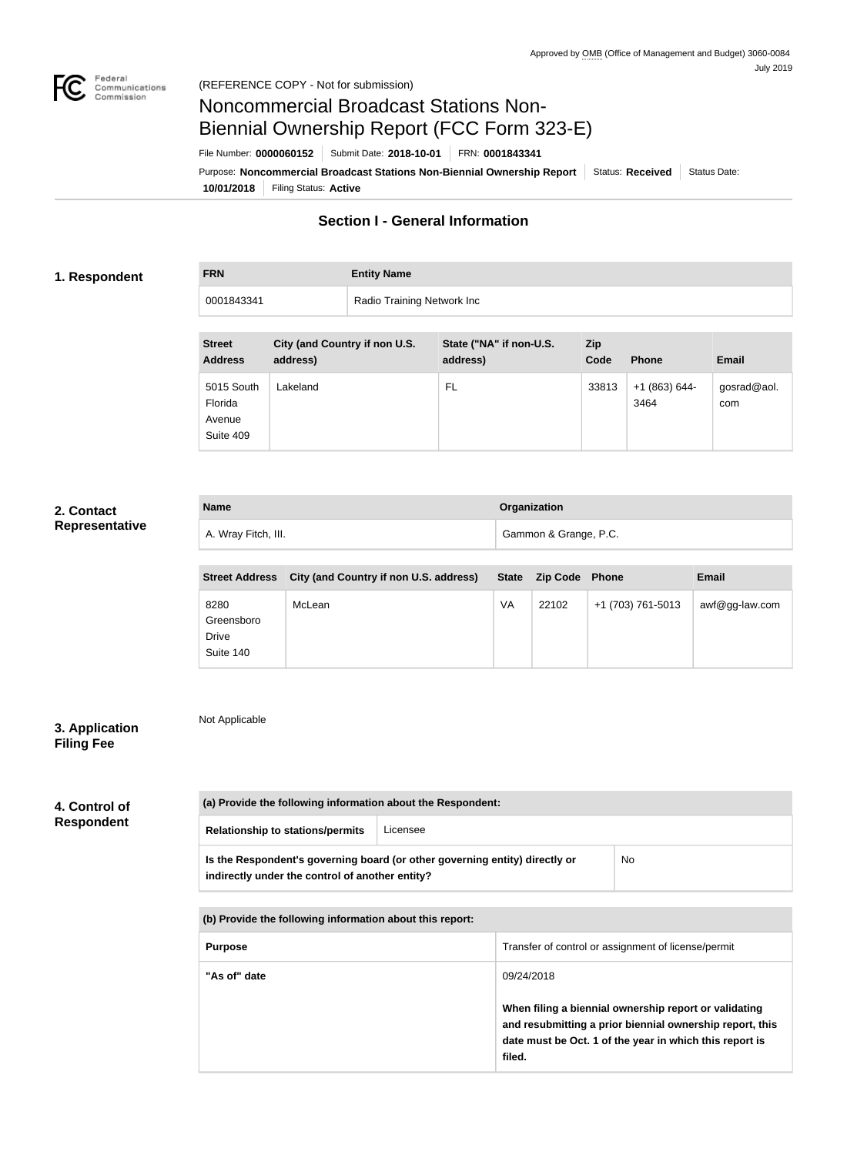

# Noncommercial Broadcast Stations Non-Biennial Ownership Report (FCC Form 323-E)

File Number: **0000060152** Submit Date: **2018-10-01** FRN: **0001843341**

**10/01/2018** Filing Status: **Active** Purpose: Noncommercial Broadcast Stations Non-Biennial Ownership Report Status: Received Status Date:

## **Section I - General Information**

#### **1. Respondent**

**FRN Entity Name**

0001843341 Radio Training Network Inc

| <b>Street</b><br><b>Address</b>              | City (and Country if non U.S.<br>address) | State ("NA" if non-U.S.<br>address) | <b>Zip</b><br>Code | <b>Phone</b>          | <b>Email</b>       |
|----------------------------------------------|-------------------------------------------|-------------------------------------|--------------------|-----------------------|--------------------|
| 5015 South<br>Florida<br>Avenue<br>Suite 409 | Lakeland                                  | FL                                  | 33813              | $+1(863)644-$<br>3464 | gosrad@aol.<br>com |

### **2. Contact Representative**

| <b>Name</b>         | Organization          |
|---------------------|-----------------------|
| A. Wray Fitch, III. | Gammon & Grange, P.C. |

| <b>Street Address</b>                    | City (and Country if non U.S. address) |    | State Zip Code | <b>Phone</b>      | <b>Email</b>      |
|------------------------------------------|----------------------------------------|----|----------------|-------------------|-------------------|
| 8280<br>Greensboro<br>Drive<br>Suite 140 | McLean                                 | VA | 22102          | +1 (703) 761-5013 | $awf@gg$ -law.com |

### **3. Application Filing Fee**

Not Applicable

| 4. Control of |  |
|---------------|--|

**Respondent**

## **(a) Provide the following information about the Respondent: Relationship to stations/permits** Licensee **Is the Respondent's governing board (or other governing entity) directly or indirectly under the control of another entity?** No

| (b) Provide the following information about this report: |                                                                                                                                                                                        |  |  |
|----------------------------------------------------------|----------------------------------------------------------------------------------------------------------------------------------------------------------------------------------------|--|--|
| <b>Purpose</b>                                           | Transfer of control or assignment of license/permit                                                                                                                                    |  |  |
| "As of" date                                             | 09/24/2018                                                                                                                                                                             |  |  |
|                                                          | When filing a biennial ownership report or validating<br>and resubmitting a prior biennial ownership report, this<br>date must be Oct. 1 of the year in which this report is<br>filed. |  |  |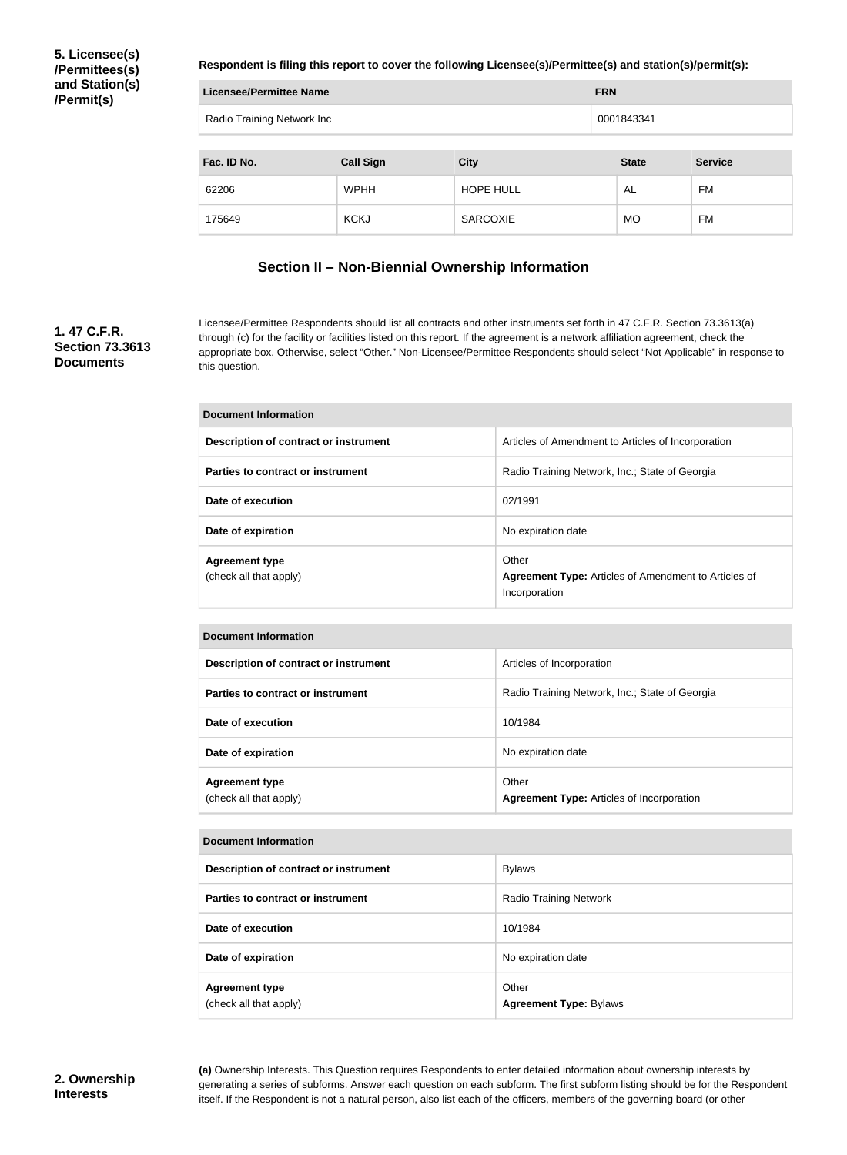**5. Licensee(s) /Permittees(s) and Station(s) /Permit(s)**

**Respondent is filing this report to cover the following Licensee(s)/Permittee(s) and station(s)/permit(s):**

| Licensee/Permittee Name    | <b>FRN</b>       |                  |              |                |  |
|----------------------------|------------------|------------------|--------------|----------------|--|
| Radio Training Network Inc |                  |                  | 0001843341   |                |  |
|                            |                  |                  |              |                |  |
| Fac. ID No.                | <b>Call Sign</b> | <b>City</b>      | <b>State</b> | <b>Service</b> |  |
| 62206                      | <b>WPHH</b>      | <b>HOPE HULL</b> | AL           | FM             |  |
| 175649                     | <b>KCKJ</b>      | <b>SARCOXIE</b>  | <b>MO</b>    | <b>FM</b>      |  |

## **Section II – Non-Biennial Ownership Information**

### **1. 47 C.F.R. Section 73.3613 Documents**

Licensee/Permittee Respondents should list all contracts and other instruments set forth in 47 C.F.R. Section 73.3613(a) through (c) for the facility or facilities listed on this report. If the agreement is a network affiliation agreement, check the appropriate box. Otherwise, select "Other." Non-Licensee/Permittee Respondents should select "Not Applicable" in response to this question.

| <b>Document Information</b>                     |                                                                                       |  |  |
|-------------------------------------------------|---------------------------------------------------------------------------------------|--|--|
| Description of contract or instrument           | Articles of Amendment to Articles of Incorporation                                    |  |  |
| Parties to contract or instrument               | Radio Training Network, Inc.; State of Georgia                                        |  |  |
| Date of execution                               | 02/1991                                                                               |  |  |
| Date of expiration                              | No expiration date                                                                    |  |  |
| <b>Agreement type</b><br>(check all that apply) | Other<br><b>Agreement Type:</b> Articles of Amendment to Articles of<br>Incorporation |  |  |

| <b>Document Information</b>                     |                                                           |  |  |
|-------------------------------------------------|-----------------------------------------------------------|--|--|
| Description of contract or instrument           | Articles of Incorporation                                 |  |  |
| Parties to contract or instrument               | Radio Training Network, Inc.; State of Georgia            |  |  |
| Date of execution                               | 10/1984                                                   |  |  |
| Date of expiration                              | No expiration date                                        |  |  |
| <b>Agreement type</b><br>(check all that apply) | Other<br><b>Agreement Type: Articles of Incorporation</b> |  |  |

| <b>Document Information</b>                     |                                        |  |  |
|-------------------------------------------------|----------------------------------------|--|--|
| Description of contract or instrument           | <b>Bylaws</b>                          |  |  |
| Parties to contract or instrument               | <b>Radio Training Network</b>          |  |  |
| Date of execution                               | 10/1984                                |  |  |
| Date of expiration                              | No expiration date                     |  |  |
| <b>Agreement type</b><br>(check all that apply) | Other<br><b>Agreement Type: Bylaws</b> |  |  |

**(a)** Ownership Interests. This Question requires Respondents to enter detailed information about ownership interests by generating a series of subforms. Answer each question on each subform. The first subform listing should be for the Respondent itself. If the Respondent is not a natural person, also list each of the officers, members of the governing board (or other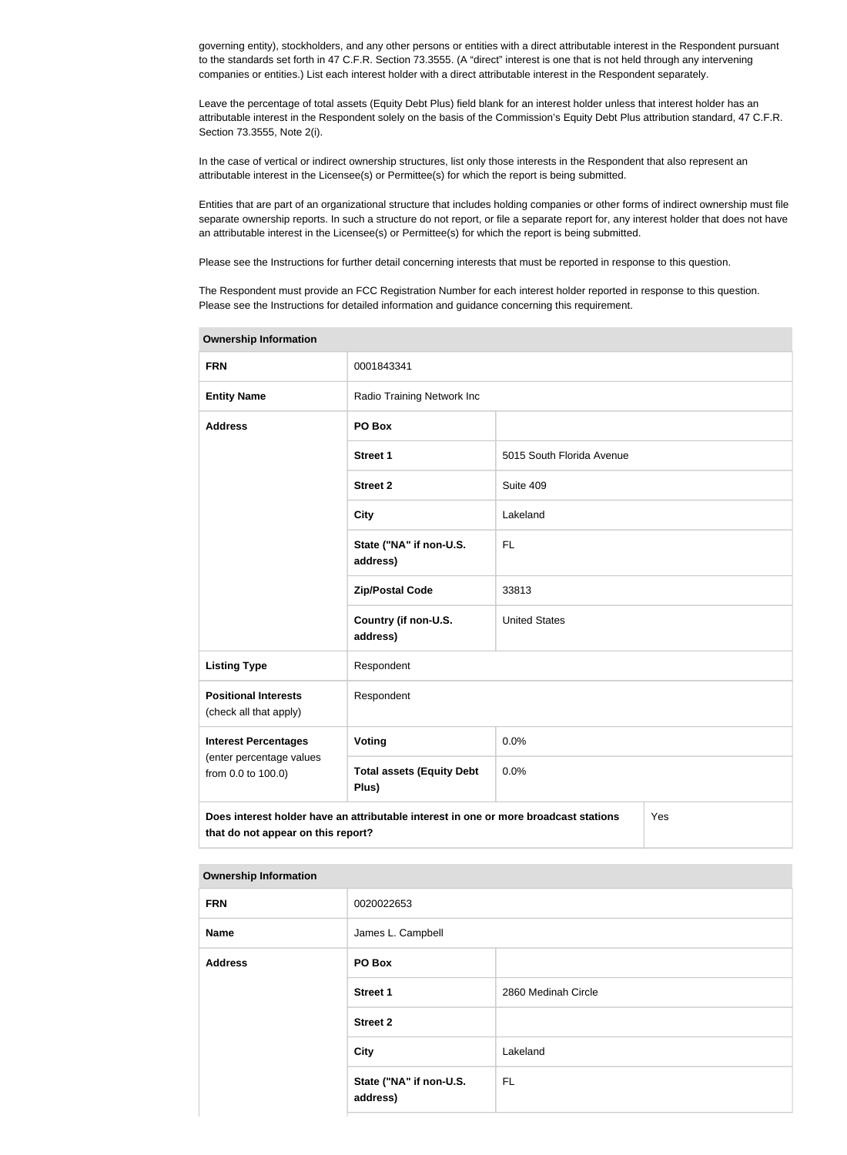governing entity), stockholders, and any other persons or entities with a direct attributable interest in the Respondent pursuant to the standards set forth in 47 C.F.R. Section 73.3555. (A "direct" interest is one that is not held through any intervening companies or entities.) List each interest holder with a direct attributable interest in the Respondent separately.

Leave the percentage of total assets (Equity Debt Plus) field blank for an interest holder unless that interest holder has an attributable interest in the Respondent solely on the basis of the Commission's Equity Debt Plus attribution standard, 47 C.F.R. Section 73.3555, Note 2(i).

In the case of vertical or indirect ownership structures, list only those interests in the Respondent that also represent an attributable interest in the Licensee(s) or Permittee(s) for which the report is being submitted.

Entities that are part of an organizational structure that includes holding companies or other forms of indirect ownership must file separate ownership reports. In such a structure do not report, or file a separate report for, any interest holder that does not have an attributable interest in the Licensee(s) or Permittee(s) for which the report is being submitted.

Please see the Instructions for further detail concerning interests that must be reported in response to this question.

The Respondent must provide an FCC Registration Number for each interest holder reported in response to this question. Please see the Instructions for detailed information and guidance concerning this requirement.

| <b>Ownership Information</b>                                                                                                      |                                           |                           |  |  |
|-----------------------------------------------------------------------------------------------------------------------------------|-------------------------------------------|---------------------------|--|--|
| <b>FRN</b>                                                                                                                        | 0001843341                                |                           |  |  |
| <b>Entity Name</b>                                                                                                                | Radio Training Network Inc                |                           |  |  |
| <b>Address</b>                                                                                                                    | PO Box                                    |                           |  |  |
|                                                                                                                                   | <b>Street 1</b>                           | 5015 South Florida Avenue |  |  |
|                                                                                                                                   | <b>Street 2</b>                           | Suite 409                 |  |  |
|                                                                                                                                   | <b>City</b>                               | Lakeland                  |  |  |
|                                                                                                                                   | State ("NA" if non-U.S.<br>address)       | <b>FL</b>                 |  |  |
|                                                                                                                                   | <b>Zip/Postal Code</b>                    | 33813                     |  |  |
|                                                                                                                                   | Country (if non-U.S.<br>address)          | <b>United States</b>      |  |  |
| <b>Listing Type</b>                                                                                                               | Respondent                                |                           |  |  |
| <b>Positional Interests</b><br>(check all that apply)                                                                             | Respondent                                |                           |  |  |
| <b>Interest Percentages</b>                                                                                                       | Voting                                    | 0.0%                      |  |  |
| (enter percentage values<br>from 0.0 to 100.0)                                                                                    | <b>Total assets (Equity Debt</b><br>Plus) | 0.0%                      |  |  |
| Does interest holder have an attributable interest in one or more broadcast stations<br>Yes<br>that do not appear on this report? |                                           |                           |  |  |

#### **Ownership Information**

| <b>FRN</b>     | 0020022653                          |                     |  |
|----------------|-------------------------------------|---------------------|--|
| <b>Name</b>    | James L. Campbell                   |                     |  |
| <b>Address</b> | PO Box                              |                     |  |
|                | <b>Street 1</b>                     | 2860 Medinah Circle |  |
|                | <b>Street 2</b>                     |                     |  |
|                | City                                | Lakeland            |  |
|                | State ("NA" if non-U.S.<br>address) | <b>FL</b>           |  |
|                |                                     |                     |  |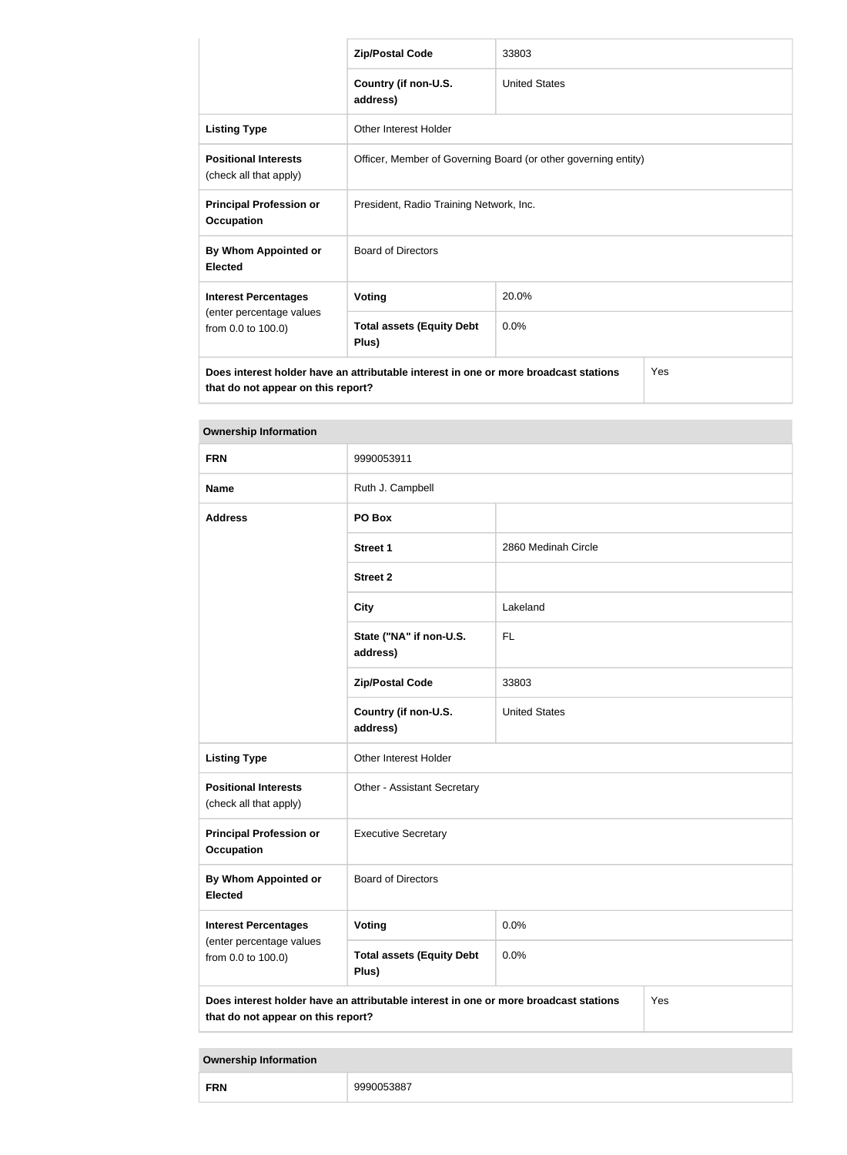|                                                                                                                                   | <b>Zip/Postal Code</b>                                         | 33803                |  |
|-----------------------------------------------------------------------------------------------------------------------------------|----------------------------------------------------------------|----------------------|--|
|                                                                                                                                   | Country (if non-U.S.<br>address)                               | <b>United States</b> |  |
| <b>Listing Type</b>                                                                                                               | Other Interest Holder                                          |                      |  |
| <b>Positional Interests</b><br>(check all that apply)                                                                             | Officer, Member of Governing Board (or other governing entity) |                      |  |
| <b>Principal Profession or</b><br><b>Occupation</b>                                                                               | President, Radio Training Network, Inc.                        |                      |  |
| By Whom Appointed or<br><b>Elected</b>                                                                                            | <b>Board of Directors</b>                                      |                      |  |
| <b>Interest Percentages</b>                                                                                                       | <b>Voting</b>                                                  | 20.0%                |  |
| (enter percentage values<br>from 0.0 to 100.0)                                                                                    | <b>Total assets (Equity Debt</b><br>Plus)                      | 0.0%                 |  |
| Does interest holder have an attributable interest in one or more broadcast stations<br>Yes<br>that do not appear on this report? |                                                                |                      |  |

| <b>Ownership Information</b>                          |                                                                                                                                   |                      |  |
|-------------------------------------------------------|-----------------------------------------------------------------------------------------------------------------------------------|----------------------|--|
| <b>FRN</b>                                            | 9990053911                                                                                                                        |                      |  |
| <b>Name</b>                                           | Ruth J. Campbell                                                                                                                  |                      |  |
| <b>Address</b>                                        | PO Box                                                                                                                            |                      |  |
|                                                       | <b>Street 1</b>                                                                                                                   | 2860 Medinah Circle  |  |
|                                                       | <b>Street 2</b>                                                                                                                   |                      |  |
|                                                       | <b>City</b>                                                                                                                       | Lakeland             |  |
|                                                       | State ("NA" if non-U.S.<br><b>FL</b><br>address)                                                                                  |                      |  |
|                                                       | <b>Zip/Postal Code</b>                                                                                                            | 33803                |  |
|                                                       | Country (if non-U.S.<br>address)                                                                                                  | <b>United States</b> |  |
| <b>Listing Type</b>                                   | Other Interest Holder                                                                                                             |                      |  |
| <b>Positional Interests</b><br>(check all that apply) | Other - Assistant Secretary                                                                                                       |                      |  |
| <b>Principal Profession or</b><br><b>Occupation</b>   | <b>Executive Secretary</b>                                                                                                        |                      |  |
| By Whom Appointed or<br><b>Elected</b>                | <b>Board of Directors</b>                                                                                                         |                      |  |
| <b>Interest Percentages</b>                           | Voting                                                                                                                            | 0.0%                 |  |
| (enter percentage values<br>from 0.0 to 100.0)        | <b>Total assets (Equity Debt</b><br>Plus)                                                                                         | 0.0%                 |  |
|                                                       | Does interest holder have an attributable interest in one or more broadcast stations<br>Yes<br>that do not appear on this report? |                      |  |

**Ownership Information**

|--|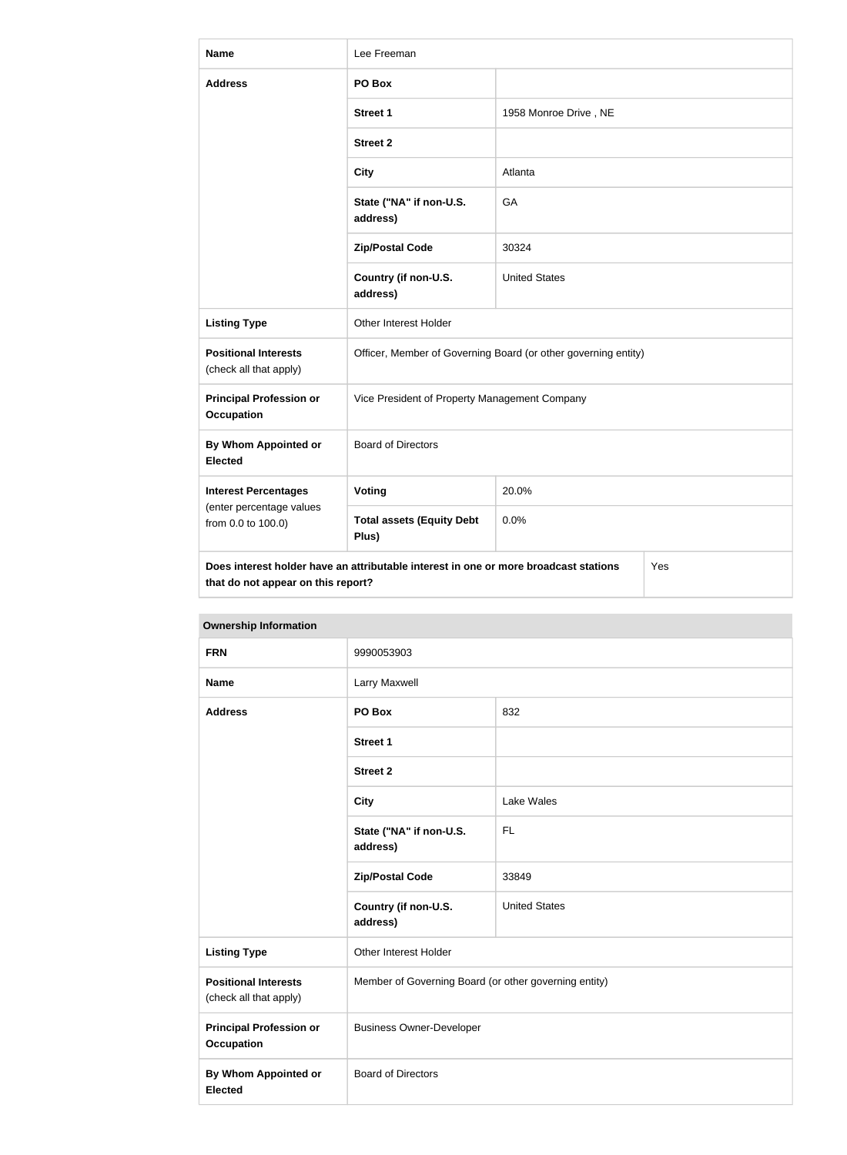| <b>Name</b>                                                                                                                       | Lee Freeman                                                    |                       |  |
|-----------------------------------------------------------------------------------------------------------------------------------|----------------------------------------------------------------|-----------------------|--|
| <b>Address</b>                                                                                                                    | PO Box                                                         |                       |  |
|                                                                                                                                   | Street 1                                                       | 1958 Monroe Drive, NE |  |
|                                                                                                                                   | <b>Street 2</b>                                                |                       |  |
|                                                                                                                                   | <b>City</b>                                                    | Atlanta               |  |
|                                                                                                                                   | State ("NA" if non-U.S.<br>address)                            | GA                    |  |
|                                                                                                                                   | <b>Zip/Postal Code</b>                                         | 30324                 |  |
|                                                                                                                                   | Country (if non-U.S.<br>address)                               | <b>United States</b>  |  |
| <b>Listing Type</b>                                                                                                               | Other Interest Holder                                          |                       |  |
| <b>Positional Interests</b><br>(check all that apply)                                                                             | Officer, Member of Governing Board (or other governing entity) |                       |  |
| <b>Principal Profession or</b><br><b>Occupation</b>                                                                               | Vice President of Property Management Company                  |                       |  |
| By Whom Appointed or<br><b>Elected</b>                                                                                            | <b>Board of Directors</b>                                      |                       |  |
| <b>Interest Percentages</b>                                                                                                       | Voting                                                         | 20.0%                 |  |
| (enter percentage values<br>from 0.0 to 100.0)                                                                                    | <b>Total assets (Equity Debt</b><br>Plus)                      | 0.0%                  |  |
| Does interest holder have an attributable interest in one or more broadcast stations<br>Yes<br>that do not appear on this report? |                                                                |                       |  |

| <b>Ownership Information</b>                          |                                                                                                                                                |                      |
|-------------------------------------------------------|------------------------------------------------------------------------------------------------------------------------------------------------|----------------------|
| <b>FRN</b>                                            | 9990053903                                                                                                                                     |                      |
| <b>Name</b>                                           | Larry Maxwell                                                                                                                                  |                      |
| <b>Address</b>                                        | PO Box                                                                                                                                         | 832                  |
|                                                       | <b>Street 1</b>                                                                                                                                |                      |
|                                                       | <b>Street 2</b>                                                                                                                                |                      |
|                                                       | <b>City</b><br>Lake Wales<br>State ("NA" if non-U.S.<br><b>FL</b><br>address)                                                                  |                      |
|                                                       |                                                                                                                                                |                      |
|                                                       | <b>Zip/Postal Code</b>                                                                                                                         | 33849                |
|                                                       | Country (if non-U.S.<br>address)                                                                                                               | <b>United States</b> |
| <b>Listing Type</b>                                   | Other Interest Holder<br>Member of Governing Board (or other governing entity)<br><b>Business Owner-Developer</b><br><b>Board of Directors</b> |                      |
| <b>Positional Interests</b><br>(check all that apply) |                                                                                                                                                |                      |
| <b>Principal Profession or</b><br><b>Occupation</b>   |                                                                                                                                                |                      |
| <b>By Whom Appointed or</b><br><b>Elected</b>         |                                                                                                                                                |                      |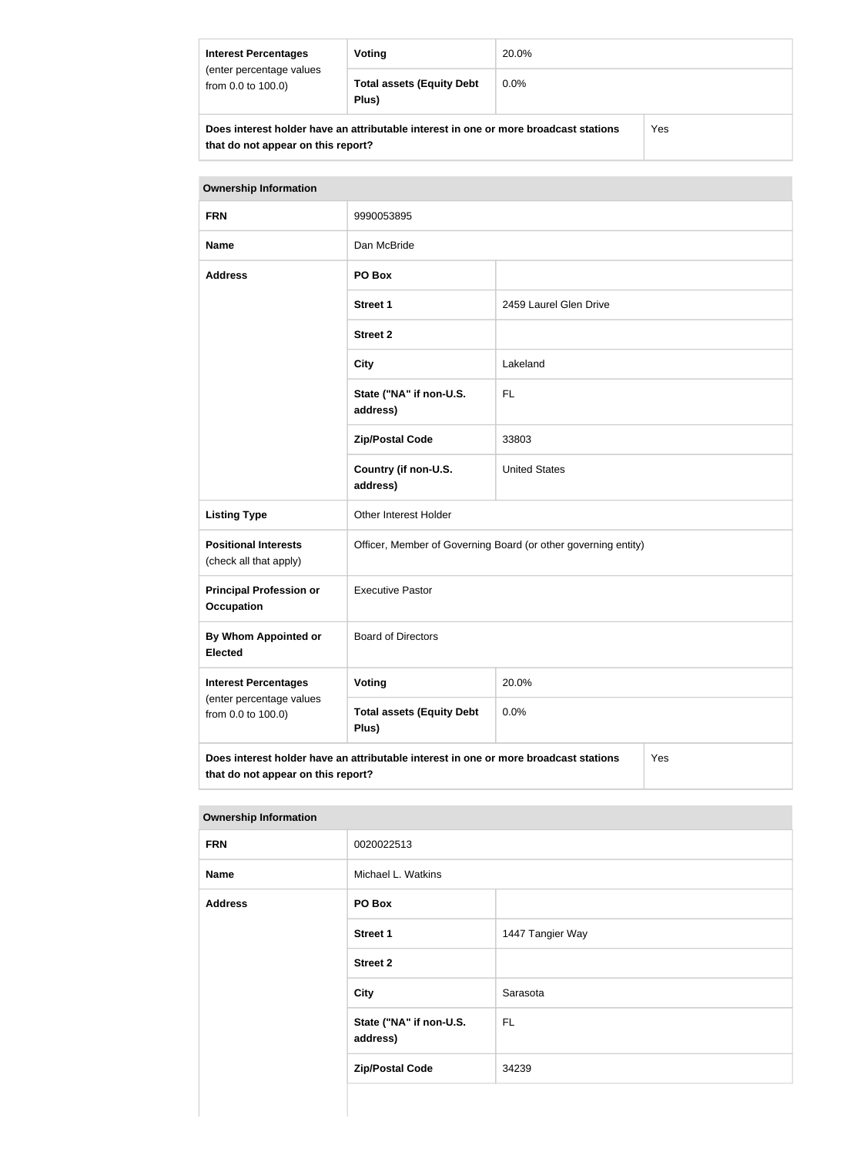| <b>Interest Percentages</b>                                                          | Voting                                    | 20.0%   |  |
|--------------------------------------------------------------------------------------|-------------------------------------------|---------|--|
| (enter percentage values<br>from 0.0 to 100.0)                                       | <b>Total assets (Equity Debt</b><br>Plus) | $0.0\%$ |  |
| Does interest holder have an attributable interest in one or more broadcast stations |                                           | Yes     |  |

| Does interest holder have an attributable interest in one or more broadcast stations |
|--------------------------------------------------------------------------------------|
| that do not appear on this report?                                                   |

| <b>Ownership Information</b>                                                                                                      |                                                                |                        |  |
|-----------------------------------------------------------------------------------------------------------------------------------|----------------------------------------------------------------|------------------------|--|
| <b>FRN</b>                                                                                                                        | 9990053895                                                     |                        |  |
| <b>Name</b>                                                                                                                       | Dan McBride                                                    |                        |  |
| <b>Address</b>                                                                                                                    | PO Box                                                         |                        |  |
|                                                                                                                                   | <b>Street 1</b>                                                | 2459 Laurel Glen Drive |  |
|                                                                                                                                   | <b>Street 2</b>                                                |                        |  |
|                                                                                                                                   | Lakeland<br><b>City</b>                                        |                        |  |
|                                                                                                                                   | State ("NA" if non-U.S.<br><b>FL</b><br>address)               |                        |  |
| 33803<br><b>Zip/Postal Code</b>                                                                                                   |                                                                |                        |  |
|                                                                                                                                   | Country (if non-U.S.<br><b>United States</b><br>address)       |                        |  |
| <b>Listing Type</b>                                                                                                               | <b>Other Interest Holder</b>                                   |                        |  |
| <b>Positional Interests</b><br>(check all that apply)                                                                             | Officer, Member of Governing Board (or other governing entity) |                        |  |
| <b>Principal Profession or</b><br><b>Occupation</b>                                                                               | <b>Executive Pastor</b>                                        |                        |  |
| <b>By Whom Appointed or</b><br><b>Elected</b>                                                                                     | <b>Board of Directors</b>                                      |                        |  |
| <b>Interest Percentages</b><br>(enter percentage values<br>from 0.0 to 100.0)                                                     | <b>Voting</b>                                                  | 20.0%                  |  |
|                                                                                                                                   | <b>Total assets (Equity Debt</b><br>Plus)                      | 0.0%                   |  |
| Does interest holder have an attributable interest in one or more broadcast stations<br>Yes<br>that do not appear on this report? |                                                                |                        |  |

| <b>Ownership Information</b> |                                     |                  |
|------------------------------|-------------------------------------|------------------|
| <b>FRN</b>                   | 0020022513                          |                  |
| <b>Name</b>                  | Michael L. Watkins                  |                  |
| <b>Address</b>               | PO Box                              |                  |
|                              | <b>Street 1</b>                     | 1447 Tangier Way |
|                              | <b>Street 2</b>                     |                  |
|                              | <b>City</b>                         | Sarasota         |
|                              | State ("NA" if non-U.S.<br>address) | FL.              |
|                              | <b>Zip/Postal Code</b>              | 34239            |
|                              |                                     |                  |